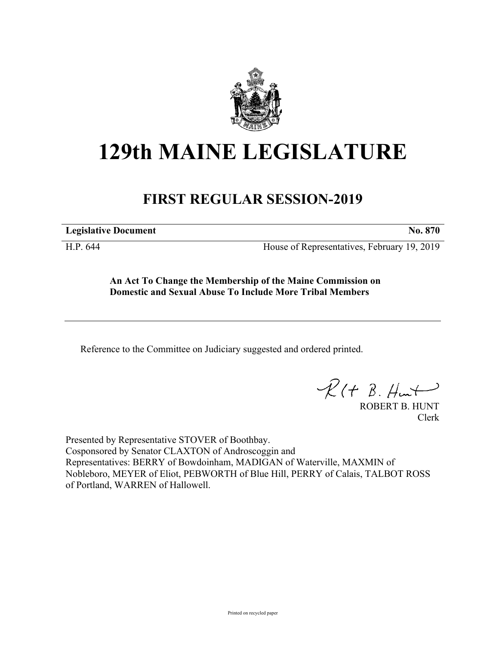

## **129th MAINE LEGISLATURE**

## **FIRST REGULAR SESSION-2019**

**Legislative Document No. 870**

H.P. 644 House of Representatives, February 19, 2019

**An Act To Change the Membership of the Maine Commission on Domestic and Sexual Abuse To Include More Tribal Members**

Reference to the Committee on Judiciary suggested and ordered printed.

 $R(H B. H<sup>u</sup>)$ 

ROBERT B. HUNT Clerk

Presented by Representative STOVER of Boothbay. Cosponsored by Senator CLAXTON of Androscoggin and Representatives: BERRY of Bowdoinham, MADIGAN of Waterville, MAXMIN of Nobleboro, MEYER of Eliot, PEBWORTH of Blue Hill, PERRY of Calais, TALBOT ROSS of Portland, WARREN of Hallowell.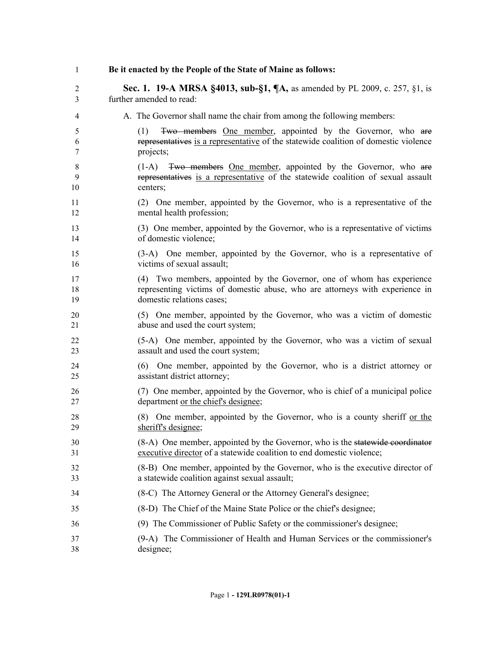| $\mathbf{1}$   | Be it enacted by the People of the State of Maine as follows:                                                                                                         |
|----------------|-----------------------------------------------------------------------------------------------------------------------------------------------------------------------|
| $\overline{c}$ | Sec. 1. 19-A MRSA §4013, sub-§1, ¶A, as amended by PL 2009, c. 257, §1, is                                                                                            |
| 3              | further amended to read:                                                                                                                                              |
| 4              | A. The Governor shall name the chair from among the following members:                                                                                                |
| 5<br>6<br>7    | Two members One member, appointed by the Governor, who are<br>(1)<br>representatives is a representative of the statewide coalition of domestic violence<br>projects; |
| 8<br>9<br>10   | Two members One member, appointed by the Governor, who are<br>$(1-A)$<br>representatives is a representative of the statewide coalition of sexual assault<br>centers; |
| 11             | (2) One member, appointed by the Governor, who is a representative of the                                                                                             |
| 12             | mental health profession;                                                                                                                                             |
| 13             | (3) One member, appointed by the Governor, who is a representative of victims                                                                                         |
| 14             | of domestic violence;                                                                                                                                                 |
| 15             | (3-A) One member, appointed by the Governor, who is a representative of                                                                                               |
| 16             | victims of sexual assault;                                                                                                                                            |
| 17             | (4) Two members, appointed by the Governor, one of whom has experience                                                                                                |
| 18             | representing victims of domestic abuse, who are attorneys with experience in                                                                                          |
| 19             | domestic relations cases;                                                                                                                                             |
| 20             | (5) One member, appointed by the Governor, who was a victim of domestic                                                                                               |
| 21             | abuse and used the court system;                                                                                                                                      |
| 22             | (5-A) One member, appointed by the Governor, who was a victim of sexual                                                                                               |
| 23             | assault and used the court system;                                                                                                                                    |
| 24             | (6) One member, appointed by the Governor, who is a district attorney or                                                                                              |
| 25             | assistant district attorney;                                                                                                                                          |
| 26             | (7) One member, appointed by the Governor, who is chief of a municipal police                                                                                         |
| 27             | department or the chief's designee;                                                                                                                                   |
| 28<br>29       | One member, appointed by the Governor, who is a county sheriff or the<br>(8)<br>sheriff's designee;                                                                   |
| 30             | (8-A) One member, appointed by the Governor, who is the statewide coordinator                                                                                         |
| 31             | executive director of a statewide coalition to end domestic violence;                                                                                                 |
| 32             | (8-B) One member, appointed by the Governor, who is the executive director of                                                                                         |
| 33             | a statewide coalition against sexual assault;                                                                                                                         |
| 34             | (8-C) The Attorney General or the Attorney General's designee;                                                                                                        |
| 35             | (8-D) The Chief of the Maine State Police or the chief's designee;                                                                                                    |
| 36             | (9) The Commissioner of Public Safety or the commissioner's designee;                                                                                                 |
| 37             | (9-A) The Commissioner of Health and Human Services or the commissioner's                                                                                             |
| 38             | designee;                                                                                                                                                             |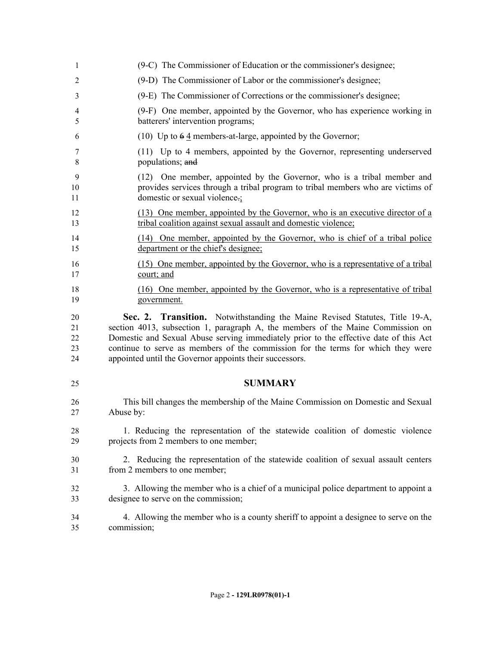| 1  | (9-C) The Commissioner of Education or the commissioner's designee;                   |
|----|---------------------------------------------------------------------------------------|
| 2  | (9-D) The Commissioner of Labor or the commissioner's designee;                       |
| 3  | (9-E) The Commissioner of Corrections or the commissioner's designee;                 |
| 4  | (9-F) One member, appointed by the Governor, who has experience working in            |
| 5  | batterers' intervention programs;                                                     |
| 6  | (10) Up to $64$ members-at-large, appointed by the Governor;                          |
| 7  | (11) Up to 4 members, appointed by the Governor, representing underserved             |
| 8  | populations; and                                                                      |
| 9  | (12) One member, appointed by the Governor, who is a tribal member and                |
| 10 | provides services through a tribal program to tribal members who are victims of       |
| 11 | domestic or sexual violence.                                                          |
| 12 | (13) One member, appointed by the Governor, who is an executive director of a         |
| 13 | tribal coalition against sexual assault and domestic violence;                        |
| 14 | (14) One member, appointed by the Governor, who is chief of a tribal police           |
| 15 | department or the chief's designee;                                                   |
| 16 | (15) One member, appointed by the Governor, who is a representative of a tribal       |
| 17 | court; and                                                                            |
| 18 | (16) One member, appointed by the Governor, who is a representative of tribal         |
| 19 | government.                                                                           |
| 20 | Sec. 2. Transition. Notwithstanding the Maine Revised Statutes, Title 19-A,           |
| 21 | section 4013, subsection 1, paragraph A, the members of the Maine Commission on       |
| 22 | Domestic and Sexual Abuse serving immediately prior to the effective date of this Act |
| 23 | continue to serve as members of the commission for the terms for which they were      |
| 24 | appointed until the Governor appoints their successors.                               |
| 25 | <b>SUMMARY</b>                                                                        |
| 26 | This bill changes the membership of the Maine Commission on Domestic and Sexual       |
| 27 | Abuse by:                                                                             |
| 28 | 1. Reducing the representation of the statewide coalition of domestic violence        |
| 29 | projects from 2 members to one member;                                                |
| 30 | 2. Reducing the representation of the statewide coalition of sexual assault centers   |
| 31 | from 2 members to one member;                                                         |
| 32 | 3. Allowing the member who is a chief of a municipal police department to appoint a   |
| 33 | designee to serve on the commission;                                                  |
| 34 | 4. Allowing the member who is a county sheriff to appoint a designee to serve on the  |
| 35 | commission;                                                                           |
|    |                                                                                       |